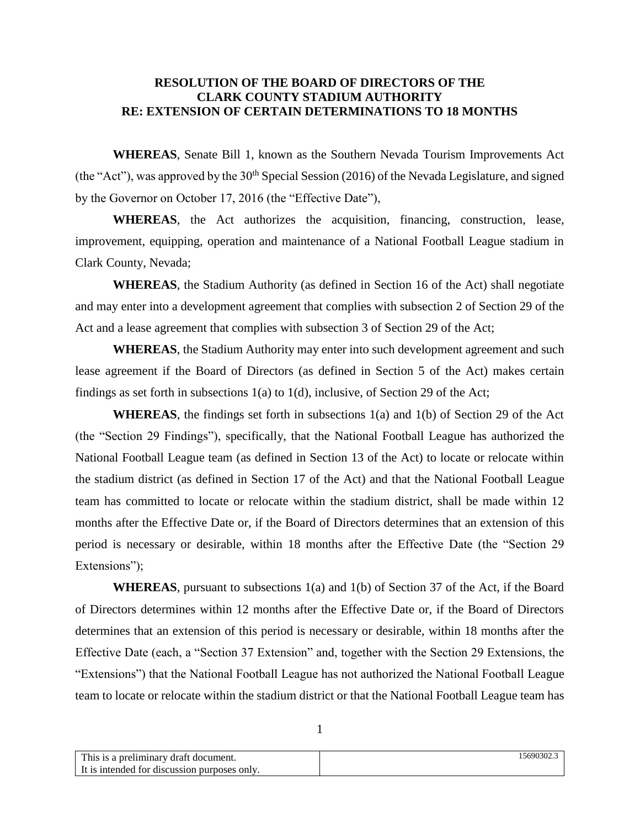## **RESOLUTION OF THE BOARD OF DIRECTORS OF THE CLARK COUNTY STADIUM AUTHORITY RE: EXTENSION OF CERTAIN DETERMINATIONS TO 18 MONTHS**

**WHEREAS**, Senate Bill 1, known as the Southern Nevada Tourism Improvements Act (the "Act"), was approved by the  $30<sup>th</sup>$  Special Session (2016) of the Nevada Legislature, and signed by the Governor on October 17, 2016 (the "Effective Date"),

**WHEREAS**, the Act authorizes the acquisition, financing, construction, lease, improvement, equipping, operation and maintenance of a National Football League stadium in Clark County, Nevada;

**WHEREAS**, the Stadium Authority (as defined in Section 16 of the Act) shall negotiate and may enter into a development agreement that complies with subsection 2 of Section 29 of the Act and a lease agreement that complies with subsection 3 of Section 29 of the Act;

**WHEREAS**, the Stadium Authority may enter into such development agreement and such lease agreement if the Board of Directors (as defined in Section 5 of the Act) makes certain findings as set forth in subsections 1(a) to 1(d), inclusive, of Section 29 of the Act;

**WHEREAS**, the findings set forth in subsections 1(a) and 1(b) of Section 29 of the Act (the "Section 29 Findings"), specifically, that the National Football League has authorized the National Football League team (as defined in Section 13 of the Act) to locate or relocate within the stadium district (as defined in Section 17 of the Act) and that the National Football League team has committed to locate or relocate within the stadium district, shall be made within 12 months after the Effective Date or, if the Board of Directors determines that an extension of this period is necessary or desirable, within 18 months after the Effective Date (the "Section 29 Extensions");

**WHEREAS**, pursuant to subsections 1(a) and 1(b) of Section 37 of the Act, if the Board of Directors determines within 12 months after the Effective Date or, if the Board of Directors determines that an extension of this period is necessary or desirable, within 18 months after the Effective Date (each, a "Section 37 Extension" and, together with the Section 29 Extensions, the "Extensions") that the National Football League has not authorized the National Football League team to locate or relocate within the stadium district or that the National Football League team has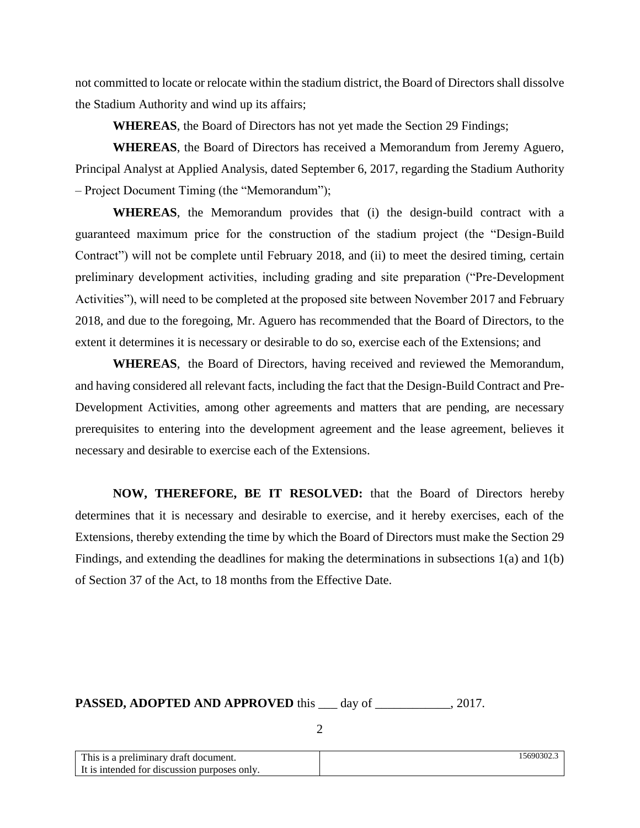not committed to locate or relocate within the stadium district, the Board of Directors shall dissolve the Stadium Authority and wind up its affairs;

**WHEREAS**, the Board of Directors has not yet made the Section 29 Findings;

**WHEREAS**, the Board of Directors has received a Memorandum from Jeremy Aguero, Principal Analyst at Applied Analysis, dated September 6, 2017, regarding the Stadium Authority – Project Document Timing (the "Memorandum");

**WHEREAS**, the Memorandum provides that (i) the design-build contract with a guaranteed maximum price for the construction of the stadium project (the "Design-Build Contract") will not be complete until February 2018, and (ii) to meet the desired timing, certain preliminary development activities, including grading and site preparation ("Pre-Development Activities"), will need to be completed at the proposed site between November 2017 and February 2018, and due to the foregoing, Mr. Aguero has recommended that the Board of Directors, to the extent it determines it is necessary or desirable to do so, exercise each of the Extensions; and

**WHEREAS**, the Board of Directors, having received and reviewed the Memorandum, and having considered all relevant facts, including the fact that the Design-Build Contract and Pre-Development Activities, among other agreements and matters that are pending, are necessary prerequisites to entering into the development agreement and the lease agreement, believes it necessary and desirable to exercise each of the Extensions.

**NOW, THEREFORE, BE IT RESOLVED:** that the Board of Directors hereby determines that it is necessary and desirable to exercise, and it hereby exercises, each of the Extensions, thereby extending the time by which the Board of Directors must make the Section 29 Findings, and extending the deadlines for making the determinations in subsections 1(a) and 1(b) of Section 37 of the Act, to 18 months from the Effective Date.

PASSED, ADOPTED AND APPROVED this \_\_\_ day of \_\_\_\_\_\_\_\_\_\_\_, 2017.

2